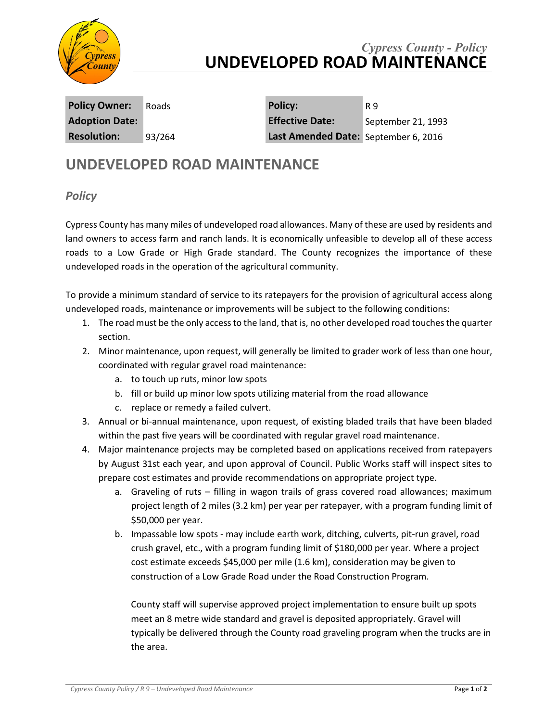

## *Cypress County - Policy* **UNDEVELOPED ROAD MAINTENANCE**

**Policy Owner:** Roads **Policy:** R 9 **Adoption Date: Effective Date:** September 21, 1993 **Resolution:** 93/264 **Last Amended Date:** September 6, 2016

## **UNDEVELOPED ROAD MAINTENANCE**

## *Policy*

Cypress County has many miles of undeveloped road allowances. Many of these are used by residents and land owners to access farm and ranch lands. It is economically unfeasible to develop all of these access roads to a Low Grade or High Grade standard. The County recognizes the importance of these undeveloped roads in the operation of the agricultural community.

To provide a minimum standard of service to its ratepayers for the provision of agricultural access along undeveloped roads, maintenance or improvements will be subject to the following conditions:

- 1. The road must be the only accessto the land, that is, no other developed road touchesthe quarter section.
- 2. Minor maintenance, upon request, will generally be limited to grader work of less than one hour, coordinated with regular gravel road maintenance:
	- a. to touch up ruts, minor low spots
	- b. fill or build up minor low spots utilizing material from the road allowance
	- c. replace or remedy a failed culvert.
- 3. Annual or bi-annual maintenance, upon request, of existing bladed trails that have been bladed within the past five years will be coordinated with regular gravel road maintenance.
- 4. Major maintenance projects may be completed based on applications received from ratepayers by August 31st each year, and upon approval of Council. Public Works staff will inspect sites to prepare cost estimates and provide recommendations on appropriate project type.
	- a. Graveling of ruts filling in wagon trails of grass covered road allowances; maximum project length of 2 miles (3.2 km) per year per ratepayer, with a program funding limit of \$50,000 per year.
	- b. Impassable low spots may include earth work, ditching, culverts, pit-run gravel, road crush gravel, etc., with a program funding limit of \$180,000 per year. Where a project cost estimate exceeds \$45,000 per mile (1.6 km), consideration may be given to construction of a Low Grade Road under the Road Construction Program.

County staff will supervise approved project implementation to ensure built up spots meet an 8 metre wide standard and gravel is deposited appropriately. Gravel will typically be delivered through the County road graveling program when the trucks are in the area.